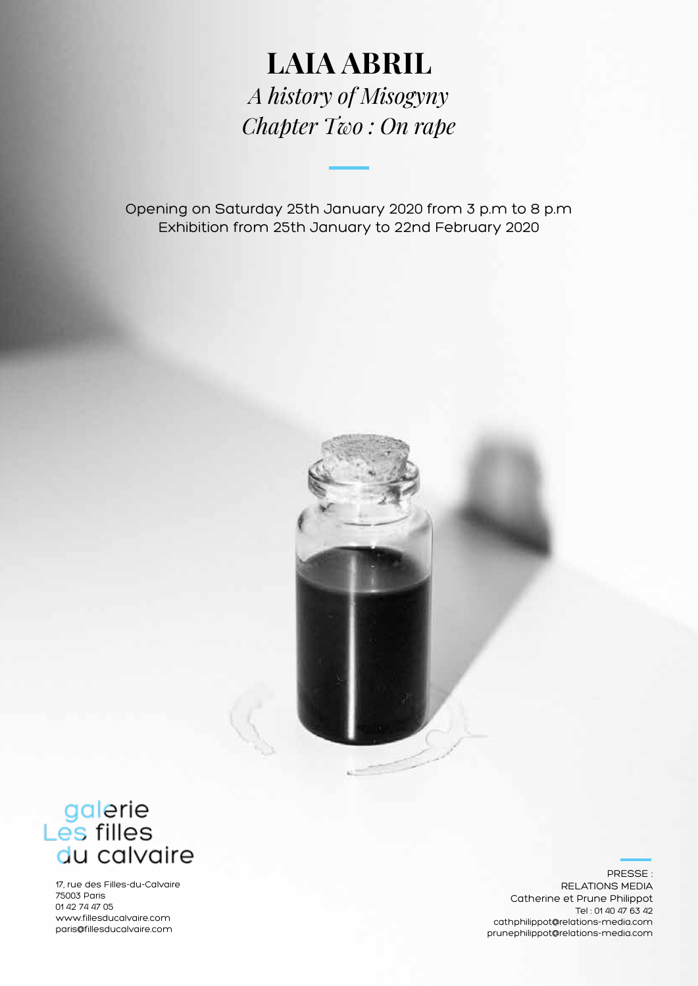## **LAIA ABRIL** *A history of Misogyny Chapter Two : On rape*

Opening on Saturday 25th January 2020 from 3 p.m to 8 p.m Exhibition from 25th January to 22nd February 2020



# galerie<br>Les filles<br>du calvaire

17, rue des Filles-du-Calvaire 75003 Paris 01 42 74 47 05 www.fillesducalvaire.com paris@fillesducalvaire.com

PRESSE : RELATIONS MEDIA Catherine et Prune Philippot Tel : 01 40 47 63 42 cathphilippot@relations-media.com prunephilippot@relations-media.com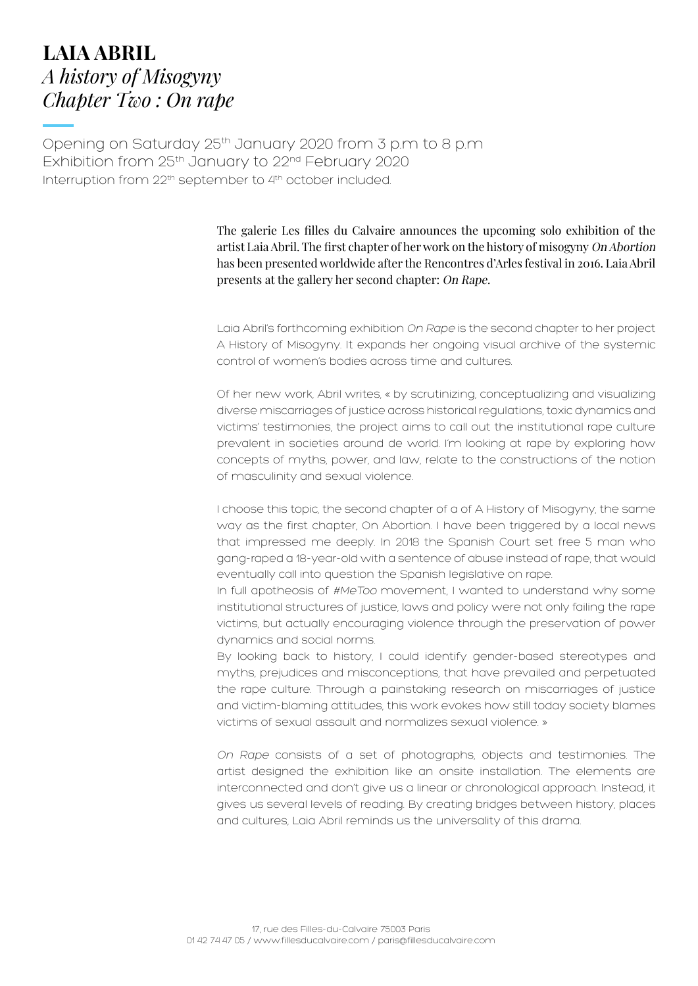## **LAIA ABRIL** *A history of Misogyny Chapter Two : On rape*

Opening on Saturday 25th January 2020 from 3 p.m to 8 p.m Exhibition from 25<sup>th</sup> January to 22<sup>nd</sup> February 2020 Interruption from 22<sup>th</sup> september to 4<sup>th</sup> october included.

> The galerie Les filles du Calvaire announces the upcoming solo exhibition of the artist Laia Abril. The first chapter of her work on the history of misogyny On Abortion has been presented worldwide after the Rencontres d'Arles festival in 2016. Laia Abril presents at the gallery her second chapter: On Rape.

> Laia Abril's forthcoming exhibition On Rape is the second chapter to her project A History of Misogyny. It expands her ongoing visual archive of the systemic control of women's bodies across time and cultures.

> Of her new work, Abril writes, « by scrutinizing, conceptualizing and visualizing diverse miscarriages of justice across historical regulations, toxic dynamics and victims' testimonies, the project aims to call out the institutional rape culture prevalent in societies around de world. I'm looking at rape by exploring how concepts of myths, power, and law, relate to the constructions of the notion of masculinity and sexual violence.

> I choose this topic, the second chapter of a of A History of Misogyny, the same way as the first chapter, On Abortion. I have been triggered by a local news that impressed me deeply. In 2018 the Spanish Court set free 5 man who gang-raped a 18-year-old with a sentence of abuse instead of rape, that would eventually call into question the Spanish legislative on rape.

> In full apotheosis of #MeToo movement, I wanted to understand why some institutional structures of justice, laws and policy were not only failing the rape victims, but actually encouraging violence through the preservation of power dynamics and social norms.

> By looking back to history, I could identify gender-based stereotypes and myths, prejudices and misconceptions, that have prevailed and perpetuated the rape culture. Through a painstaking research on miscarriages of justice and victim-blaming attitudes, this work evokes how still today society blames victims of sexual assault and normalizes sexual violence. »

> On Rape consists of a set of photographs, objects and testimonies. The artist designed the exhibition like an onsite installation. The elements are interconnected and don't give us a linear or chronological approach. Instead, it gives us several levels of reading. By creating bridges between history, places and cultures, Laia Abril reminds us the universality of this drama.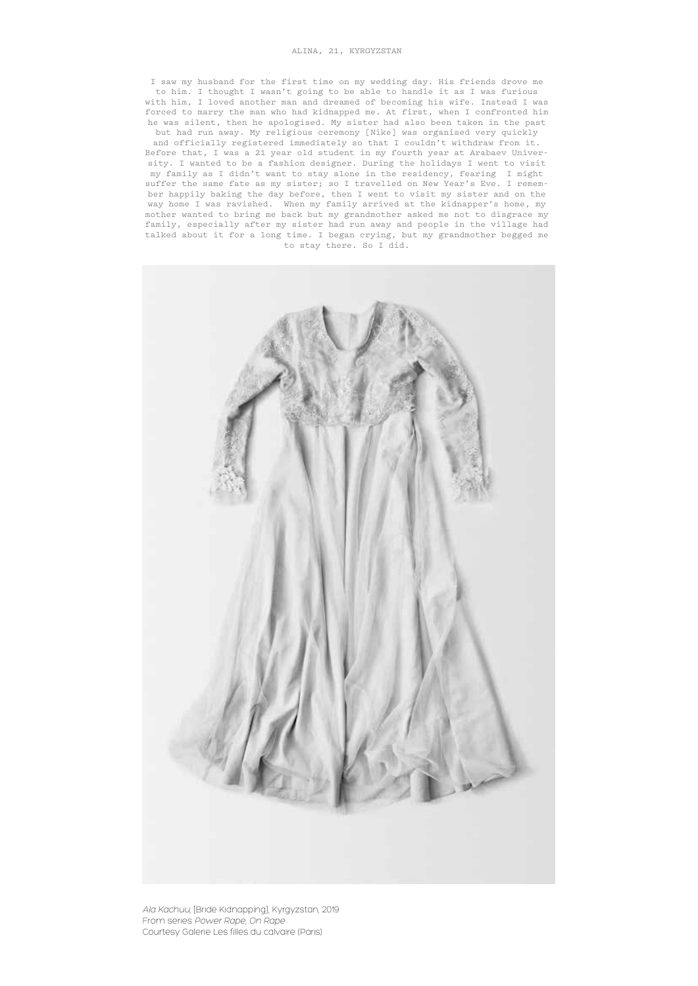#### ALINA, 21, KYRGYZSTAN

I saw my husband for the first time on my wedding day. His friends drove me to him. I thought I wasn't going to be able to handle it as I was furious with him, I loved another man and dreamed of becoming his wife. Instead I was forced to marry the man who had kidnapped me. At first, when I confronted him he was silent, then he apologised. My sister had also been taken in the past but had run away. My religious ceremony [Nike] was organised very quickly

and officially registered immediately so that I couldn't withdraw from it. Before that, I was a 21 year old student in my fourth year at Arabaev University. I wanted to be a fashion designer. During the holidays I went to visit my family as I didn't want to stay alone in the residency, fearing I might suffer the same fate as my sister; so I travelled on New Year's Eve. I remember happily baking the day before, then I went to visit my sister and on the way home I was ravished. When my family arrived at the kidnapper's home, my mother wanted to bring me back but my grandmother asked me not to disgrace my family, especially after my sister had run away and people in the village had talked about it for a long time. I began crying, but my grandmother begged me to stay there. So I did.



Ala Kachuu, [Bride Kidnapping], Kyrgyzstan, 2019 From series Power Rape, On Rape Courtesy Galerie Les filles du calvaire (Paris)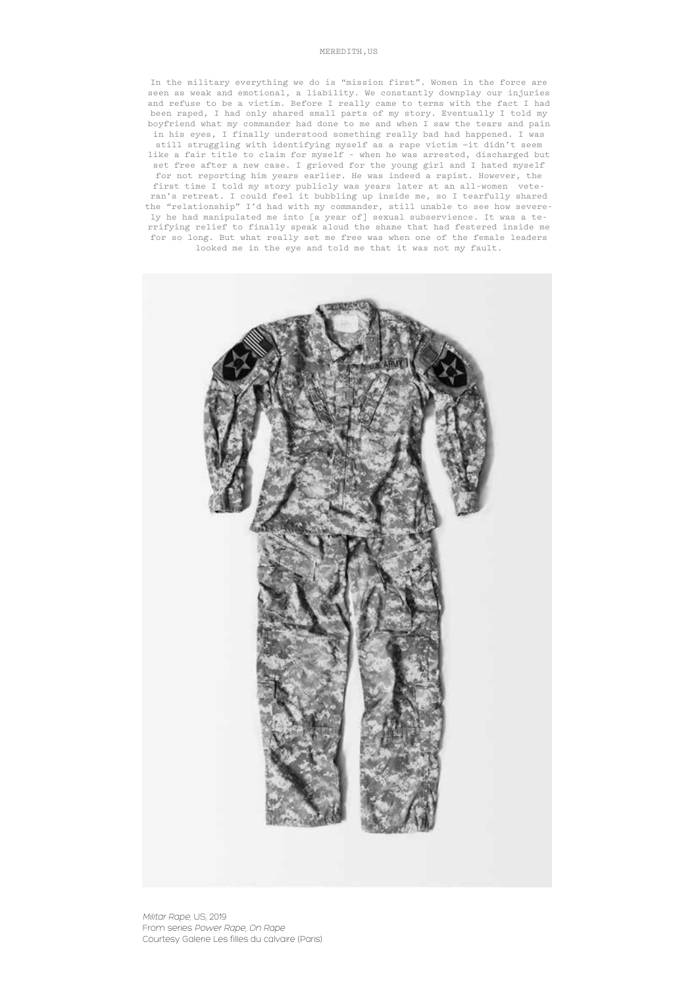#### MEREDITH,US

In the military everything we do is "mission first". Women in the force are seen as weak and emotional, a liability. We constantly downplay our injuries and refuse to be a victim. Before I really came to terms with the fact I had been raped, I had only shared small parts of my story. Eventually I told my boyfriend what my commander had done to me and when I saw the tears and pain in his eyes, I finally understood something really bad had happened. I was still struggling with identifying myself as a rape victim —it didn't seem like a fair title to claim for myself – when he was arrested, discharged but set free after a new case. I grieved for the young girl and I hated myself for not reporting him years earlier. He was indeed a rapist. However, the first time I told my story publicly was years later at an all-women vete-

ran's retreat. I could feel it bubbling up inside me, so I tearfully shared the "relationship" I'd had with my commander, still unable to see how severely he had manipulated me into [a year of] sexual subservience. It was a terrifying relief to finally speak aloud the shame that had festered inside me for so long. But what really set me free was when one of the female leaders looked me in the eye and told me that it was not my fault.

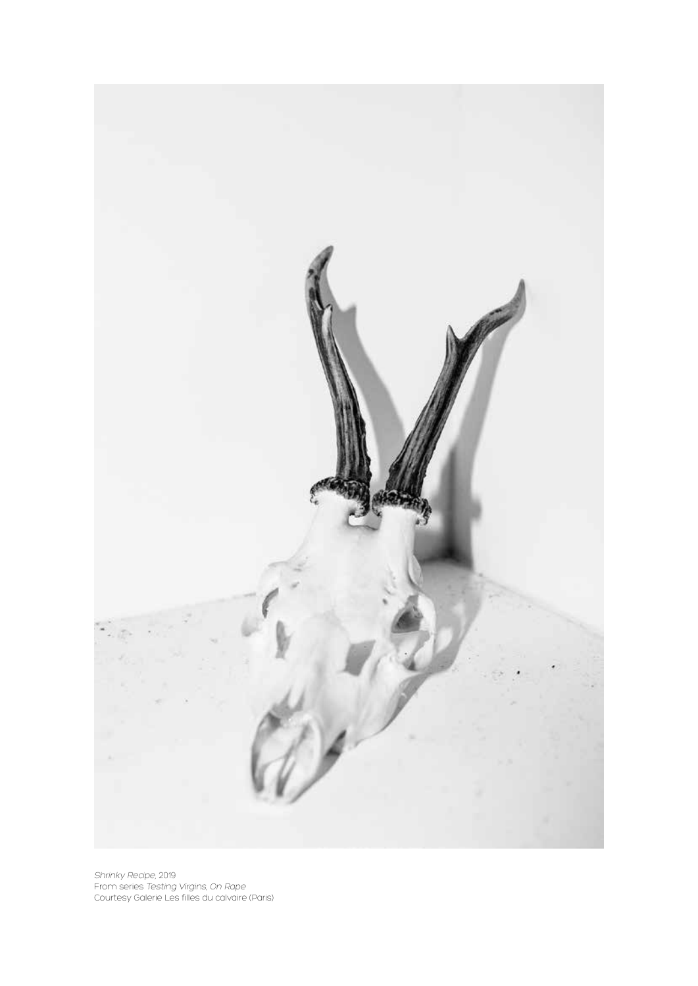

Shrinky Recipe, 2019 From series Testing Virgins, On Rape Courtesy Galerie Les filles du calvaire (Paris)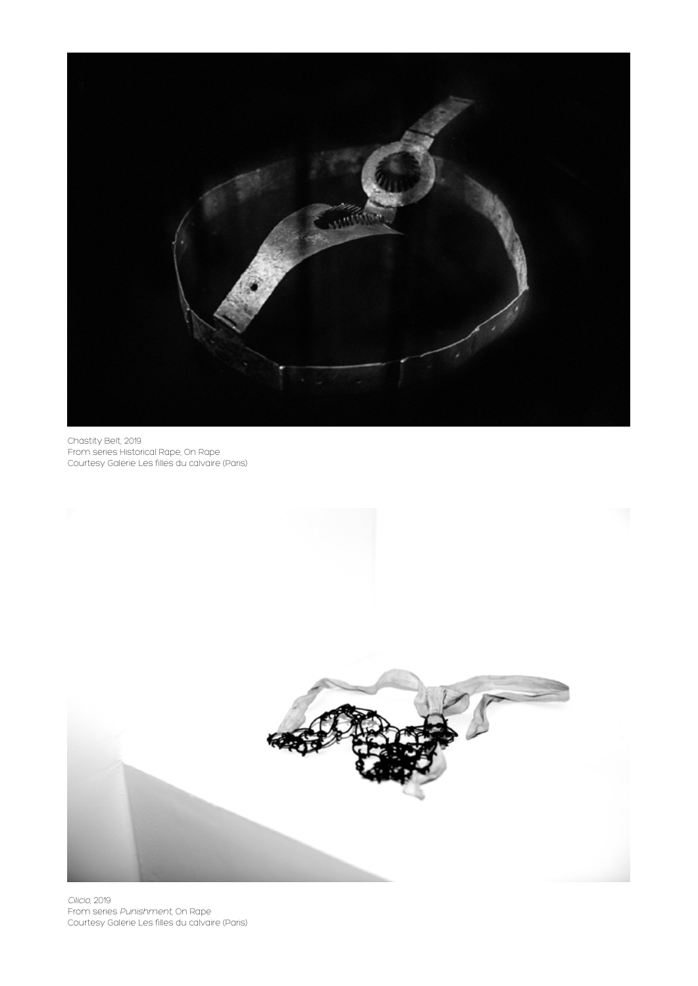

Chastity Belt, 2019 From series Historical Rape, On Rape Courtesy Galerie Les filles du calvaire (Paris)



Cilicio, 2019 From series Punishment, On Rape Courtesy Galerie Les filles du calvaire (Paris)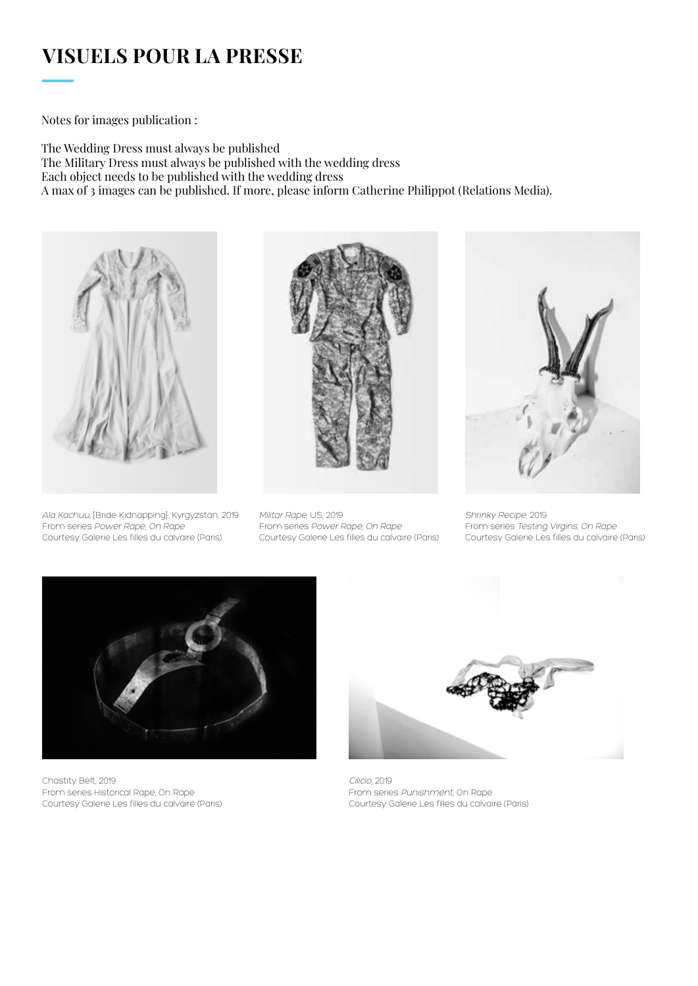## **VISUELS POUR LA PRESSE**

Notes for images publication :

The Wedding Dress must always be published The Military Dress must always be published with the wedding dress Each object needs to be published with the wedding dress A max of 3 images can be published. If more, please inform Catherine Philippot (Relations Media).



Ala Kachuu, [Bride Kidnapping], Kyrgyzstan, 2019 From series Power Rape, On Rape Courtesy Galerie Les filles du calvaire (Paris)



Militar Rape, US, 2019 From series Power Rape, On Rape Courtesy Galerie Les filles du calvaire (Paris)



Shrinky Recipe, 2019 From series Testing Virgins, On Rape Courtesy Galerie Les filles du calvaire (Paris)



Chastity Belt, 2019 From series Historical Rape, On Rape Courtesy Galerie Les filles du calvaire (Paris)



Cilicio, 2019 From series Punishment, On Rape Courtesy Galerie Les filles du calvaire (Paris)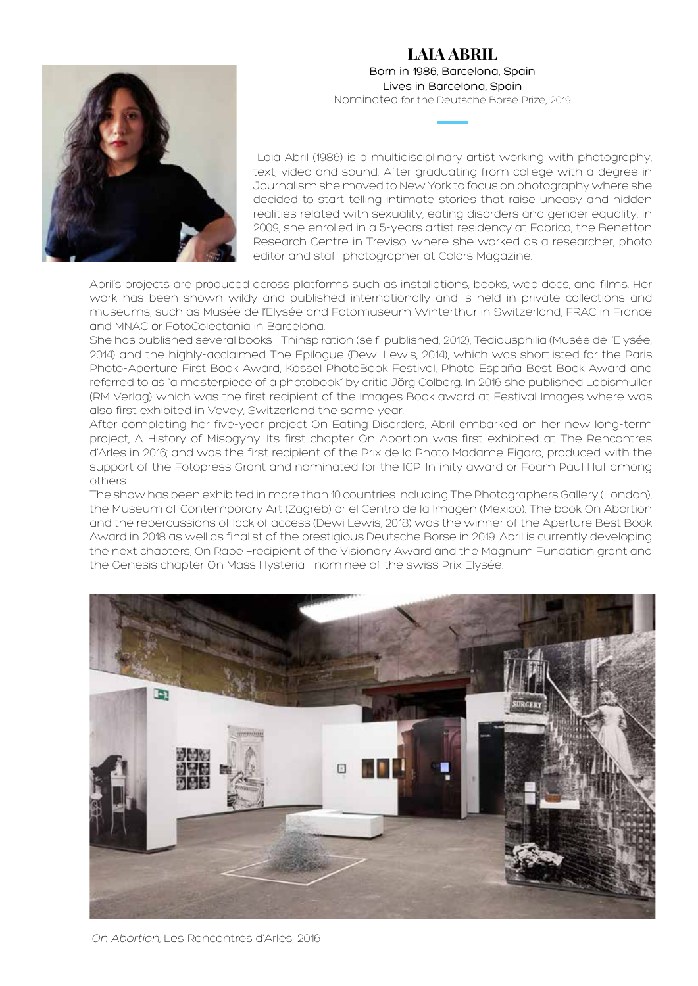### **LAIA ABRIL** Born in 1986, Barcelona, Spain Lives in Barcelona, Spain Nominated for the Deutsche Borse Prize, 2019



 Laia Abril (1986) is a multidisciplinary artist working with photography, text, video and sound. After graduating from college with a degree in Journalism she moved to New York to focus on photography where she decided to start telling intimate stories that raise uneasy and hidden realities related with sexuality, eating disorders and gender equality. In 2009, she enrolled in a 5-years artist residency at Fabrica, the Benetton Research Centre in Treviso, where she worked as a researcher, photo editor and staff photographer at Colors Magazine.

Abril's projects are produced across platforms such as installations, books, web docs, and films. Her work has been shown wildy and published internationally and is held in private collections and museums, such as Musée de l'Elysée and Fotomuseum Winterthur in Switzerland, FRAC in France and MNAC or FotoColectania in Barcelona.

She has published several books —Thinspiration (self-published, 2012), Tediousphilia (Musée de l'Elysée, 2014) and the highly-acclaimed The Epilogue (Dewi Lewis, 2014), which was shortlisted for the Paris Photo-Aperture First Book Award, Kassel PhotoBook Festival, Photo España Best Book Award and referred to as "a masterpiece of a photobook" by critic Jörg Colberg. In 2016 she published Lobismuller (RM Verlag) which was the first recipient of the Images Book award at Festival Images where was also first exhibited in Vevey, Switzerland the same year.

After completing her five-year project On Eating Disorders, Abril embarked on her new long-term project, A History of Misogyny. Its first chapter On Abortion was first exhibited at The Rencontres d'Arles in 2016; and was the first recipient of the Prix de la Photo Madame Figaro, produced with the support of the Fotopress Grant and nominated for the ICP-Infinity award or Foam Paul Huf among others.

The show has been exhibited in more than 10 countries including The Photographers Gallery (London), the Museum of Contemporary Art (Zagreb) or el Centro de la Imagen (Mexico). The book On Abortion and the repercussions of lack of access (Dewi Lewis, 2018) was the winner of the Aperture Best Book Award in 2018 as well as finalist of the prestigious Deutsche Borse in 2019. Abril is currently developing the next chapters, On Rape —recipient of the Visionary Award and the Magnum Fundation grant and the Genesis chapter On Mass Hysteria —nominee of the swiss Prix Elysée.



On Abortion, Les Rencontres d'Arles, 2016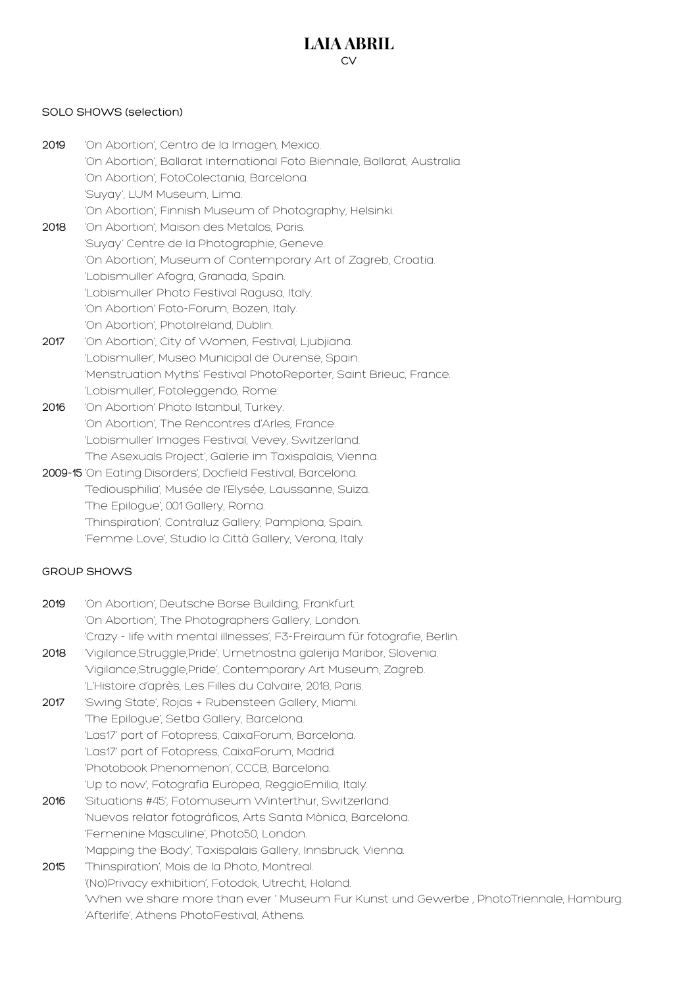### **LAIA ABRIL**  $\sim$

#### SOLO SHOWS (selection)

- 2019 'On Abortion', Centro de la Imagen, Mexico. 'On Abortion', Ballarat International Foto Biennale, Ballarat, Australia. 'On Abortion', FotoColectania, Barcelona. 'Suyay', LUM Museum, Lima. 'On Abortion', Finnish Museum of Photography, Helsinki. 2018 'On Abortion', Maison des Metalos, Paris. 'Suyay' Centre de la Photographie, Geneve. 'On Abortion', Museum of Contemporary Art of Zagreb, Croatia. 'Lobismuller' Afogra, Granada, Spain. 'Lobismuller' Photo Festival Ragusa, Italy. 'On Abortion' Foto-Forum, Bozen, Italy. 'On Abortion', PhotoIreland, Dublin. 2017 'On Abortion', City of Women, Festival, Ljubjiana. 'Lobismuller', Museo Municipal de Ourense, Spain. 'Menstruation Myths' Festival PhotoReporter, Saint Brieuc, France.
- 'Lobismuller', Fotoleggendo, Rome. 2016 'On Abortion' Photo Istanbul, Turkey. 'On Abortion', The Rencontres d'Arles, France. 'Lobismuller' Images Festival, Vevey, Switzerland. 'The Asexuals Project', Galerie im Taxispalais, Vienna.
- 2009-15 'On Eating Disorders', Docfield Festival, Barcelona. 'Tediousphilia', Musée de l'Elysée, Laussanne, Suiza. 'The Epilogue', 001 Gallery, Roma. 'Thinspiration', Contraluz Gallery, Pamplona, Spain. 'Femme Love', Studio la Città Gallery, Verona, Italy.

#### GROUP SHOWS

- 2019 'On Abortion', Deutsche Borse Building, Frankfurt. 'On Abortion', The Photographers Gallery, London. 'Crazy - life with mental illnesses', F3-Freiraum für fotografie, Berlin. 2018 'Vigilance,Struggle,Pride', Umetnostna galerija Maribor, Slovenia.
- 'Vigilance,Struggle,Pride', Contemporary Art Museum, Zagreb. 'L'Histoire d'après, Les Filles du Calvaire, 2018, Paris.
- 2017 'Swing State', Rojas + Rubensteen Gallery, Miami. 'The Epilogue', Setba Gallery, Barcelona. 'Las17' part of Fotopress, CaixaForum, Barcelona. 'Las17' part of Fotopress, CaixaForum, Madrid. 'Photobook Phenomenon', CCCB, Barcelona. 'Up to now', Fotografia Europea, ReggioEmilia, Italy.
- 2016 'Situations #45', Fotomuseum Winterthur, Switzerland. 'Nuevos relator fotográficos, Arts Santa Mònica, Barcelona. 'Femenine Masculine', Photo50, London. 'Mapping the Body', Taxispalais Gallery, Innsbruck, Vienna.
- 2015 'Thinspiration', Mois de la Photo, Montreal. '(No)Privacy exhibition', Fotodok, Utrecht, Holand. 'When we share more than ever ' Museum Fur Kunst und Gewerbe , PhotoTriennale, Hamburg. 'Afterlife', Athens PhotoFestival, Athens.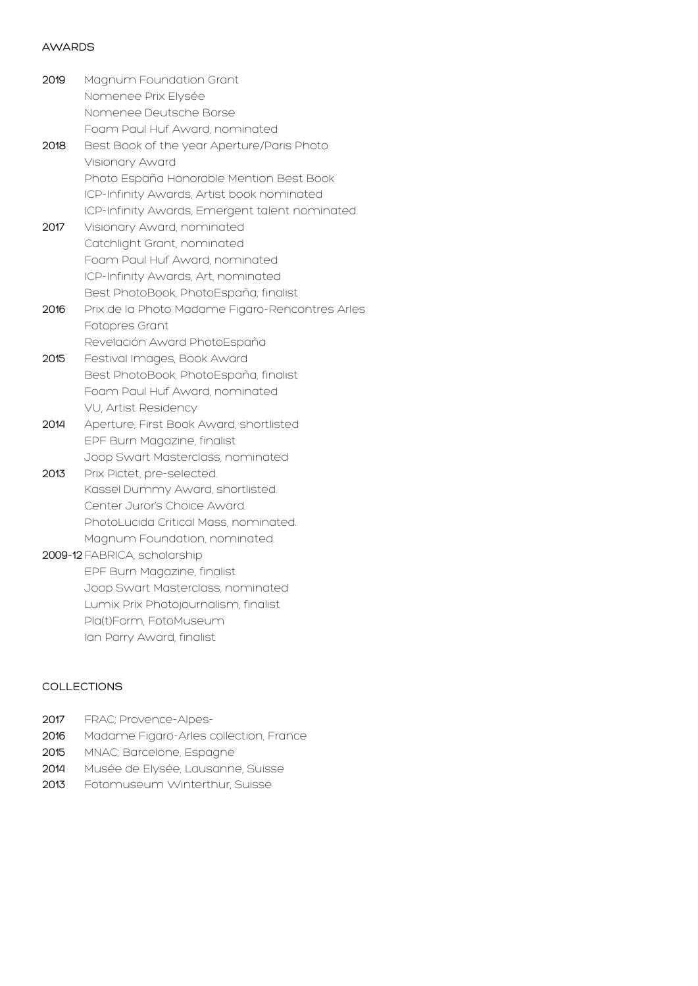#### AWARDS

- 2019 Magnum Foundation Grant Nomenee Prix Elysée Nomenee Deutsche Borse Foam Paul Huf Award, nominated 2018 Best Book of the year Aperture/Paris Photo Visionary Award Photo España Honorable Mention Best Book ICP-Infinity Awards, Artist book nominated ICP-Infinity Awards, Emergent talent nominated 2017 Visionary Award, nominated Catchlight Grant, nominated Foam Paul Huf Award, nominated ICP-Infinity Awards, Art, nominated Best PhotoBook, PhotoEspaña, finalist 2016 Prix de la Photo Madame Figaro-Rencontres Arles Fotopres Grant Revelación Award PhotoEspaña 2015 Festival Images, Book Award Best PhotoBook, PhotoEspaña, finalist Foam Paul Huf Award, nominated VU, Artist Residency 2014 Aperture, First Book Award, shortlisted EPF Burn Magazine, finalist Joop Swart Masterclass, nominated 2013 Prix Pictet, pre-selected. Kassel Dummy Award, shortlisted. Center Juror's Choice Award. PhotoLucida Critical Mass, nominated. Magnum Foundation, nominated. 2009-12FABRICA, scholarship EPF Burn Magazine, finalist Joop Swart Masterclass, nominated Lumix Prix Photojournalism, finalist
	- Pla(t)Form, FotoMuseum
	- Ian Parry Award, finalist

#### COLLECTIONS

- 2017 FRAC; Provence-Alpes-
- 2016 Madame Figaro-Arles collection, France
- 2015 MNAC; Barcelone, Espagne
- 2014 Musée de Elysée, Lausanne, Suisse
- 2013 Fotomuseum Winterthur, Suisse